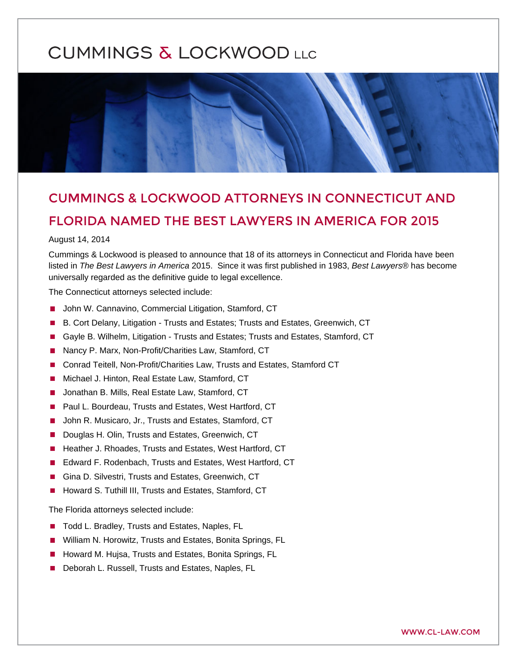## CUMMINGS & LOCKWOOD ATTORNEYS IN CONNECT FLORIDA NAMED THE BEST LAWYERS IN AMERICA

## August 14, 2014

Cummings & Lockwood is pleased to announce that 18 of its attorneys in Connecticut and Florida have been listed in The Best Lawyers in America 2015. Since it was first published in 1983, Best Lawyers® has become universally regarded as the definitive guide to legal excellence.

The Connecticut attorneys selected include:

[John W. Cannavino,](https://www.cl-law.com/professionals/john-w-cannavino) Commercial Litigation, Stamford, CT [B. Cort Delany,](https://www.cl-law.com/professionals/b-cort-delany) Litigation - Trusts and Estates; Trusts and Estates, Greenwich, CT Gayle B. Wilhelm, Litigation - Trusts and Estates; Trusts and Estates, Stamford, CT Nancy P. Marx, Non-Profit/Charities Law, Stamford, CT [Conrad Teitell,](https://www.cl-law.com/professionals/conrad-teitell) Non-Profit/Charities Law, Trusts and Estates, Stamford CT [Michael J. Hinton](https://www.cl-law.com/professionals/michael-j-hinton), Real Estate Law, Stamford, CT [Jonathan B. Mills,](https://www.cl-law.com/professionals/jonathan-b-mills) Real Estate Law, Stamford, CT [Paul L. Bourdeau,](https://www.cl-law.com/professionals/paul-l-bourdeau) Trusts and Estates, West Hartford, CT [John R. Musicaro, Jr.](https://www.cl-law.com/professionals/john-r-musicaro), Trusts and Estates, Stamford, CT [Douglas H. Olin,](https://www.cl-law.com/professionals/douglas-h-olin) Trusts and Estates, Greenwich, CT [Heather J. Rhoades,](https://www.cl-law.com/professionals/heather-j-rhoades) Trusts and Estates, West Hartford, CT [Edward F. Rodenbach](https://www.cl-law.com/professionals/edward-f-rodenbach), Trusts and Estates, West Hartford, CT [Gina D. Silvestri](https://www.cl-law.com/professionals/gina-d-silvestri), Trusts and Estates, Greenwich, CT [Howard S. Tuthill III,](https://www.cl-law.com/professionals/howard-s-tuthill) Trusts and Estates, Stamford, CT

The Florida attorneys selected include:

[Todd L. Bradley](https://www.cl-law.com/professionals/todd-l-bradley), Trusts and Estates, Naples, FL [William N. Horowitz](https://www.cl-law.com/professionals/william-n-horowitz), Trusts and Estates, Bonita Springs, FL [Howard M. Hujsa](https://www.cl-law.com/professionals/howard-m-hujsa), Trusts and Estates, Bonita Springs, FL Deborah L. Russell, Trusts and Estates, Naples, FL